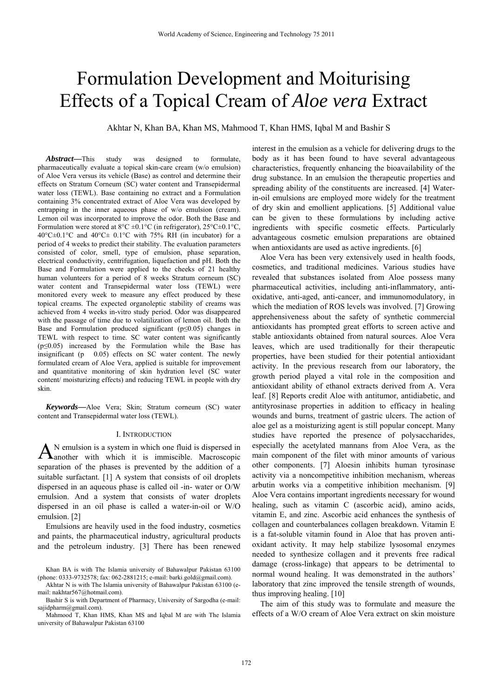# Formulation Development and Moiturising Effects of a Topical Cream of *Aloe vera* Extract

Akhtar N, Khan BA, Khan MS, Mahmood T, Khan HMS, Iqbal M and Bashir S

*Abstract***—**This study was designed to formulate, pharmaceutically evaluate a topical skin-care cream (w/o emulsion) of Aloe Vera versus its vehicle (Base) as control and determine their effects on Stratum Corneum (SC) water content and Transepidermal water loss (TEWL). Base containing no extract and a Formulation containing 3% concentrated extract of Aloe Vera was developed by entrapping in the inner aqueous phase of w/o emulsion (cream). Lemon oil was incorporated to improve the odor. Both the Base and Formulation were stored at  $8^{\circ}C \pm 0.1^{\circ}C$  (in refrigerator),  $25^{\circ}C \pm 0.1^{\circ}C$ , 40°C±0.1°C and 40°C± 0.1°C with 75% RH (in incubator) for a period of 4 weeks to predict their stability. The evaluation parameters consisted of color, smell, type of emulsion, phase separation, electrical conductivity, centrifugation, liquefaction and pH. Both the Base and Formulation were applied to the cheeks of 21 healthy human volunteers for a period of 8 weeks Stratum corneum (SC) water content and Transepidermal water loss (TEWL) were monitored every week to measure any effect produced by these topical creams. The expected organoleptic stability of creams was achieved from 4 weeks in-vitro study period. Odor was disappeared with the passage of time due to volatilization of lemon oil. Both the Base and Formulation produced significant ( $p \le 0.05$ ) changes in TEWL with respect to time. SC water content was significantly  $(p \le 0.05)$  increased by the Formulation while the Base has insignificant (p 0.05) effects on SC water content. The newly formulated cream of Aloe Vera, applied is suitable for improvement and quantitative monitoring of skin hydration level (SC water content/ moisturizing effects) and reducing TEWL in people with dry skin.

*Keywords***—**Aloe Vera; Skin; Stratum corneum (SC) water content and Transepidermal water loss (TEWL).

#### I. INTRODUCTION

N emulsion is a system in which one fluid is dispersed in  $A<sup>N</sup>$  emulsion is a system in which one fluid is dispersed in another with which it is immiscible. Macroscopic separation of the phases is prevented by the addition of a suitable surfactant. [1] A system that consists of oil droplets dispersed in an aqueous phase is called oil -in- water or O/W emulsion. And a system that consists of water droplets dispersed in an oil phase is called a water-in-oil or W/O emulsion. [2]

Emulsions are heavily used in the food industry, cosmetics and paints, the pharmaceutical industry, agricultural products and the petroleum industry. [3] There has been renewed interest in the emulsion as a vehicle for delivering drugs to the body as it has been found to have several advantageous characteristics, frequently enhancing the bioavailability of the drug substance. In an emulsion the therapeutic properties and spreading ability of the constituents are increased. [4] Waterin-oil emulsions are employed more widely for the treatment of dry skin and emollient applications. [5] Additional value can be given to these formulations by including active ingredients with specific cosmetic effects. Particularly advantageous cosmetic emulsion preparations are obtained when antioxidants are used as active ingredients. [6]

Aloe Vera has been very extensively used in health foods, cosmetics, and traditional medicines. Various studies have revealed that substances isolated from Aloe possess many pharmaceutical activities, including anti-inflammatory, antioxidative, anti-aged, anti-cancer, and immunomodulatory, in which the mediation of ROS levels was involved. [7] Growing apprehensiveness about the safety of synthetic commercial antioxidants has prompted great efforts to screen active and stable antioxidants obtained from natural sources. Aloe Vera leaves, which are used traditionally for their therapeutic properties, have been studied for their potential antioxidant activity. In the previous research from our laboratory, the growth period played a vital role in the composition and antioxidant ability of ethanol extracts derived from A. Vera leaf. [8] Reports credit Aloe with antitumor, antidiabetic, and antityrosinase properties in addition to efficacy in healing wounds and burns, treatment of gastric ulcers. The action of aloe gel as a moisturizing agent is still popular concept. Many studies have reported the presence of polysaccharides, especially the acetylated mannans from Aloe Vera, as the main component of the filet with minor amounts of various other components. [7] Aloesin inhibits human tyrosinase activity via a noncompetitive inhibition mechanism, whereas arbutin works via a competitive inhibition mechanism. [9] Aloe Vera contains important ingredients necessary for wound healing, such as vitamin C (ascorbic acid), amino acids, vitamin E, and zinc. Ascorbic acid enhances the synthesis of collagen and counterbalances collagen breakdown. Vitamin E is a fat-soluble vitamin found in Aloe that has proven antioxidant activity. It may help stabilize lysosomal enzymes needed to synthesize collagen and it prevents free radical damage (cross-linkage) that appears to be detrimental to normal wound healing. It was demonstrated in the authors' laboratory that zinc improved the tensile strength of wounds, thus improving healing. [10]

The aim of this study was to formulate and measure the effects of a W/O cream of Aloe Vera extract on skin moisture

Khan BA is with The Islamia university of Bahawalpur Pakistan 63100 (phone: 0333-9732578; fax: 062-2881215; e-mail: barki.gold@gmail.com).

Akhtar N is with The Islamia university of Bahawalpur Pakistan 63100 (email: nakhtar567@hotmail.com).

Bashir S is with Department of Pharmacy, University of Sargodha (e-mail: sajidpharm@gmail.com).

Mahmood T, Khan HMS, Khan MS and Iqbal M are with The Islamia university of Bahawalpur Pakistan 63100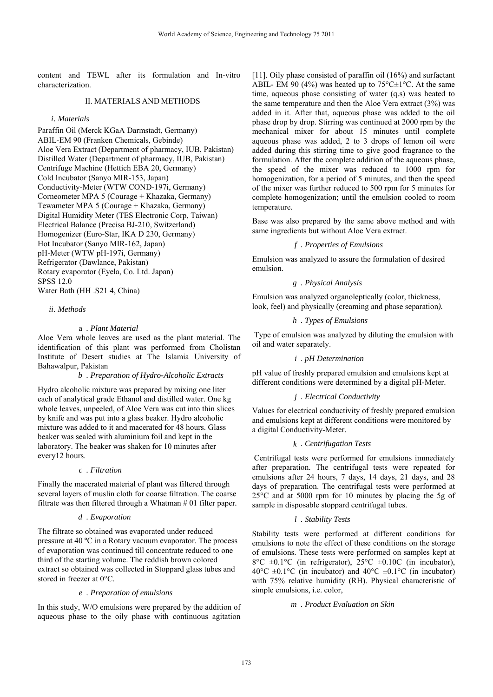content and TEWL after its formulation and In-vitro characterization.

# II. MATERIALS AND METHODS

## *i. Materials*

Paraffin Oil (Merck KGaA Darmstadt, Germany) ABIL-EM 90 (Franken Chemicals, Gebinde) Aloe Vera Extract (Department of pharmacy, IUB, Pakistan) Distilled Water (Department of pharmacy, IUB, Pakistan) Centrifuge Machine (Hettich EBA 20, Germany) Cold Incubator (Sanyo MIR-153, Japan) Conductivity-Meter (WTW COND-197i, Germany) Corneometer MPA 5 (Courage + Khazaka, Germany) Tewameter MPA 5 (Courage + Khazaka, Germany) Digital Humidity Meter (TES Electronic Corp, Taiwan) Electrical Balance (Precisa BJ-210, Switzerland) Homogenizer (Euro-Star, IKA D 230, Germany) Hot Incubator (Sanyo MIR-162, Japan) pH-Meter (WTW pH-197i, Germany) Refrigerator (Dawlance, Pakistan) Rotary evaporator (Eyela, Co. Ltd. Japan) SPSS 12.0 Water Bath (HH .S21 4, China)

## *ii. Methods*

#### a *. Plant Material*

Aloe Vera whole leaves are used as the plant material. The identification of this plant was performed from Cholistan Institute of Desert studies at The Islamia University of Bahawalpur, Pakistan

## *b . Preparation of Hydro-Alcoholic Extracts*

Hydro alcoholic mixture was prepared by mixing one liter each of analytical grade Ethanol and distilled water. One kg whole leaves, unpeeled, of Aloe Vera was cut into thin slices by knife and was put into a glass beaker. Hydro alcoholic mixture was added to it and macerated for 48 hours. Glass beaker was sealed with aluminium foil and kept in the laboratory. The beaker was shaken for 10 minutes after every12 hours.

## *c . Filtration*

Finally the macerated material of plant was filtered through several layers of muslin cloth for coarse filtration. The coarse filtrate was then filtered through a Whatman # 01 filter paper*.* 

#### *d . Evaporation*

The filtrate so obtained was evaporated under reduced pressure at 40 ºC in a Rotary vacuum evaporator. The process of evaporation was continued till concentrate reduced to one third of the starting volume. The reddish brown colored extract so obtained was collected in Stoppard glass tubes and stored in freezer at 0°C.

## *e . Preparation of emulsions*

In this study, W/O emulsions were prepared by the addition of aqueous phase to the oily phase with continuous agitation [11]. Oily phase consisted of paraffin oil (16%) and surfactant ABIL- EM 90 (4%) was heated up to  $75^{\circ}$ C $\pm$ 1°C. At the same time, aqueous phase consisting of water (q.s) was heated to the same temperature and then the Aloe Vera extract (3%) was added in it. After that, aqueous phase was added to the oil phase drop by drop. Stirring was continued at 2000 rpm by the mechanical mixer for about 15 minutes until complete aqueous phase was added, 2 to 3 drops of lemon oil were added during this stirring time to give good fragrance to the formulation. After the complete addition of the aqueous phase, the speed of the mixer was reduced to 1000 rpm for homogenization, for a period of 5 minutes, and then the speed of the mixer was further reduced to 500 rpm for 5 minutes for complete homogenization; until the emulsion cooled to room temperature.

Base was also prepared by the same above method and with same ingredients but without Aloe Vera extract.

## *f . Properties of Emulsions*

Emulsion was analyzed to assure the formulation of desired emulsion.

#### *g . Physical Analysis*

Emulsion was analyzed organoleptically (color, thickness, look, feel) and physically (creaming and phase separation*).* 

# *h . Types of Emulsions*

 Type of emulsion was analyzed by diluting the emulsion with oil and water separately.

# *i . pH Determination*

pH value of freshly prepared emulsion and emulsions kept at different conditions were determined by a digital pH-Meter.

## *j . Electrical Conductivity*

Values for electrical conductivity of freshly prepared emulsion and emulsions kept at different conditions were monitored by a digital Conductivity-Meter.

## *k . Centrifugation Tests*

 Centrifugal tests were performed for emulsions immediately after preparation. The centrifugal tests were repeated for emulsions after 24 hours, 7 days, 14 days, 21 days, and 28 days of preparation. The centrifugal tests were performed at 25°C and at 5000 rpm for 10 minutes by placing the 5g of sample in disposable stoppard centrifugal tubes.

# *l . Stability Tests*

Stability tests were performed at different conditions for emulsions to note the effect of these conditions on the storage of emulsions. These tests were performed on samples kept at 8°C ±0.1°C (in refrigerator), 25°C ±0.10C (in incubator),  $40^{\circ}$ C  $\pm$ 0.1°C (in incubator) and  $40^{\circ}$ C  $\pm$ 0.1°C (in incubator) with 75% relative humidity (RH). Physical characteristic of simple emulsions, i.e. color,

*m . Product Evaluation on Skin*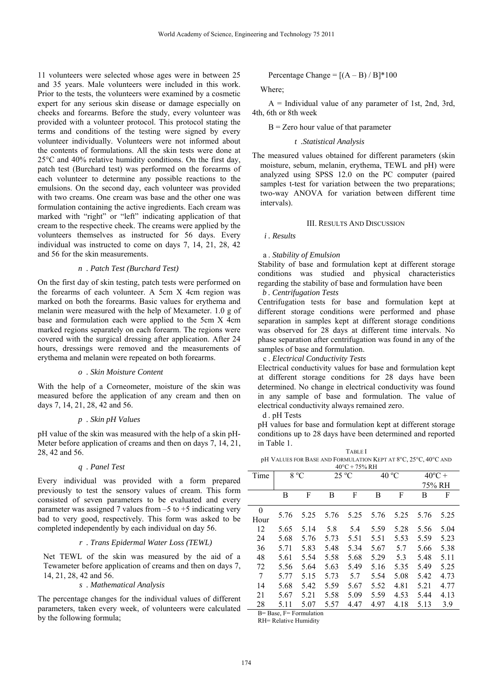11 volunteers were selected whose ages were in between 25 and 35 years. Male volunteers were included in this work. Prior to the tests, the volunteers were examined by a cosmetic expert for any serious skin disease or damage especially on cheeks and forearms. Before the study, every volunteer was provided with a volunteer protocol. This protocol stating the terms and conditions of the testing were signed by every volunteer individually. Volunteers were not informed about the contents of formulations. All the skin tests were done at 25°C and 40% relative humidity conditions. On the first day, patch test (Burchard test) was performed on the forearms of each volunteer to determine any possible reactions to the emulsions. On the second day, each volunteer was provided with two creams. One cream was base and the other one was formulation containing the active ingredients. Each cream was marked with "right" or "left" indicating application of that cream to the respective cheek. The creams were applied by the volunteers themselves as instructed for 56 days. Every individual was instructed to come on days 7, 14, 21, 28, 42 and 56 for the skin measurements.

#### *n . Patch Test (Burchard Test)*

On the first day of skin testing, patch tests were performed on the forearms of each volunteer. A 5cm X 4cm region was marked on both the forearms. Basic values for erythema and melanin were measured with the help of Mexameter. 1.0 g of base and formulation each were applied to the 5cm X 4cm marked regions separately on each forearm. The regions were covered with the surgical dressing after application. After 24 hours, dressings were removed and the measurements of erythema and melanin were repeated on both forearms.

#### *o . Skin Moisture Content*

With the help of a Corneometer, moisture of the skin was measured before the application of any cream and then on days 7, 14, 21, 28, 42 and 56.

## *p . Skin pH Values*

pH value of the skin was measured with the help of a skin pH-Meter before application of creams and then on days 7, 14, 21, 28, 42 and 56.

#### *q . Panel Test*

Every individual was provided with a form prepared previously to test the sensory values of cream. This form consisted of seven parameters to be evaluated and every parameter was assigned 7 values from  $-5$  to  $+5$  indicating very bad to very good, respectively. This form was asked to be completed independently by each individual on day 56.

## *r . Trans Epidermal Water Loss (TEWL)*

Net TEWL of the skin was measured by the aid of a Tewameter before application of creams and then on days 7, 14, 21, 28, 42 and 56.

## *s . Mathematical Analysis*

The percentage changes for the individual values of different parameters, taken every week, of volunteers were calculated by the following formula;

## Percentage Change =  $[(A - B) / B]^*100$

Where;

 $A =$  Individual value of any parameter of 1st, 2nd, 3rd, 4th, 6th or 8th week

 $B = Zero$  hour value of that parameter

## *t .Statistical Analysis*

The measured values obtained for different parameters (skin moisture, sebum, melanin, erythema, TEWL and pH) were analyzed using SPSS 12.0 on the PC computer (paired samples t-test for variation between the two preparations; two-way ANOVA for variation between different time intervals).

# III. RESULTS AND DISCUSSION

*i . Results* 

#### a . *Stability of Emulsion*

Stability of base and formulation kept at different storage conditions was studied and physical characteristics regarding the stability of base and formulation have been *b . Centrifugation Tests* 

Centrifugation tests for base and formulation kept at different storage conditions were performed and phase separation in samples kept at different storage conditions was observed for 28 days at different time intervals. No phase separation after centrifugation was found in any of the samples of base and formulation.

c . *Electrical Conductivity Tests*

Electrical conductivity values for base and formulation kept at different storage conditions for 28 days have been determined. No change in electrical conductivity was found in any sample of base and formulation. The value of electrical conductivity always remained zero.

d . pH Tests

pH values for base and formulation kept at different storage conditions up to 28 days have been determined and reported in Table 1.

TABLE I pH VALUES FOR BASE AND FORMULATION KEPT AT 8°C, 25°C, 40°C AND 40°C + 75% RH

| 40°C + 75% KH |               |      |                |      |       |      |                  |      |  |  |
|---------------|---------------|------|----------------|------|-------|------|------------------|------|--|--|
| Time          | $8^{\circ}$ C |      | $25^{\circ}$ C |      | 40 °C |      | $40^{\circ}$ C + |      |  |  |
|               |               |      |                |      |       |      | 75% RH           |      |  |  |
|               | B             | F    | B              | F    | В     | F    | B                | F    |  |  |
| $\theta$      | 5.76          | 5.25 | 5.76           | 5.25 | 5.76  | 5.25 | 5.76             | 5.25 |  |  |
| Hour          |               |      |                |      |       |      |                  |      |  |  |
| 12            | 5.65          | 5.14 | 5.8            | 5.4  | 5.59  | 5.28 | 5.56             | 5.04 |  |  |
| 24            | 5.68          | 5.76 | 5.73           | 5.51 | 5.51  | 5.53 | 5.59             | 5.23 |  |  |
| 36            | 5.71          | 5.83 | 5.48           | 5.34 | 5.67  | 5.7  | 5.66             | 5.38 |  |  |
| 48            | 5.61          | 5.54 | 5.58           | 5.68 | 5.29  | 5.3  | 5.48             | 5.11 |  |  |
| 72            | 5.56          | 5.64 | 5.63           | 5.49 | 5.16  | 5.35 | 5.49             | 5.25 |  |  |
| 7             | 5.77          | 5.15 | 5.73           | 5.7  | 5.54  | 5.08 | 5.42             | 4.73 |  |  |
| 14            | 5.68          | 5.42 | 5.59           | 5.67 | 5.52  | 4.81 | 5.21             | 4.77 |  |  |
| 21            | 5.67          | 5.21 | 5.58           | 5.09 | 5.59  | 4.53 | 5.44             | 4.13 |  |  |
| 28            | 5.11          | 5.07 | 5.57           | 4.47 | 4.97  | 4.18 | 5.13             | 3.9  |  |  |

B= Base, F= Formulation RH= Relative Humidity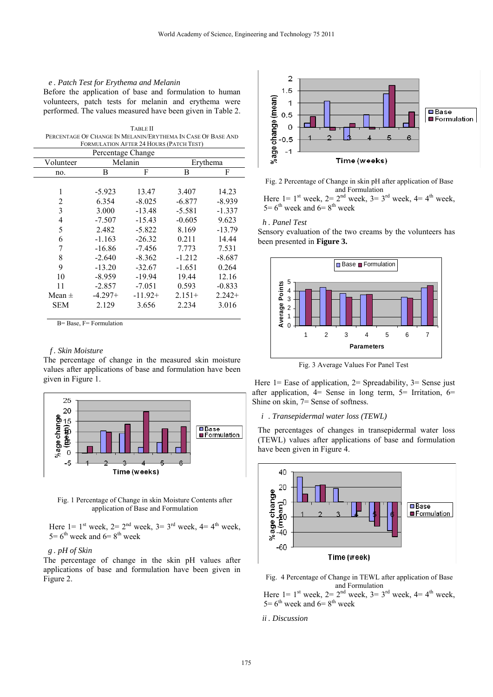#### *e . Patch Test for Erythema and Melanin*

Before the application of base and formulation to human volunteers, patch tests for melanin and erythema were performed. The values measured have been given in Table 2.

TABLE II PERCENTAGE OF CHANGE IN MELANIN/ERYTHEMA IN CASE OF BASE AND FORMULATION AFTER 24 HOURS (PATCH TEST)

| Percentage Change |           |           |          |          |  |  |  |  |  |  |
|-------------------|-----------|-----------|----------|----------|--|--|--|--|--|--|
| Volunteer         |           | Melanin   | Erythema |          |  |  |  |  |  |  |
| no.               | В         | F         | В        | F        |  |  |  |  |  |  |
|                   |           |           |          |          |  |  |  |  |  |  |
| 1                 | $-5.923$  | 13.47     | 3.407    | 14.23    |  |  |  |  |  |  |
| 2                 | 6.354     | $-8.025$  | $-6.877$ | $-8.939$ |  |  |  |  |  |  |
| 3                 | 3.000     | $-13.48$  | $-5.581$ | $-1.337$ |  |  |  |  |  |  |
| 4                 | $-7.507$  | $-15.43$  | $-0.605$ | 9.623    |  |  |  |  |  |  |
| 5                 | 2.482     | $-5.822$  | 8.169    | $-13.79$ |  |  |  |  |  |  |
| 6                 | $-1.163$  | $-26.32$  | 0.211    | 14.44    |  |  |  |  |  |  |
| 7                 | $-16.86$  | $-7.456$  | 7.773    | 7.531    |  |  |  |  |  |  |
| 8                 | $-2.640$  | $-8.362$  | $-1.212$ | $-8.687$ |  |  |  |  |  |  |
| 9                 | $-13.20$  | $-32.67$  | $-1.651$ | 0.264    |  |  |  |  |  |  |
| 10                | $-8.959$  | $-19.94$  | 19.44    | 12.16    |  |  |  |  |  |  |
| 11                | $-2.857$  | $-7.051$  | 0.593    | $-0.833$ |  |  |  |  |  |  |
| Mean $\pm$        | $-4.297+$ | $-11.92+$ | $2.151+$ | $2.242+$ |  |  |  |  |  |  |
| <b>SEM</b>        | 2.129     | 3.656     | 2.234    | 3.016    |  |  |  |  |  |  |
|                   |           |           |          |          |  |  |  |  |  |  |

B= Base, F= Formulation

#### *f . Skin Moisture*

The percentage of change in the measured skin moisture values after applications of base and formulation have been given in Figure 1.



Fig. 1 Percentage of Change in skin Moisture Contents after application of Base and Formulation

Here  $1 = 1$ <sup>st</sup> week,  $2 = 2<sup>nd</sup>$  week,  $3 = 3<sup>rd</sup>$  week,  $4 = 4<sup>th</sup>$  week,  $5=6^{th}$  week and  $6=8^{th}$  week

# *g . pH of Skin*

The percentage of change in the skin pH values after applications of base and formulation have been given in Figure 2.



Fig. 2 Percentage of Change in skin pH after application of Base and Formulation

Here  $1 = 1$ <sup>st</sup> week,  $2 = 2$ <sup>nd</sup> week,  $3 = 3$ <sup>rd</sup> week,  $4 = 4$ <sup>th</sup> week,  $5=6$ <sup>th</sup> week and  $6=8$ <sup>th</sup> week

#### *h . Panel Test*

Sensory evaluation of the two creams by the volunteers has been presented in **Figure 3.** 



Fig. 3 Average Values For Panel Test

Here  $1 =$  Ease of application,  $2 =$  Spreadability,  $3 =$  Sense just after application, 4= Sense in long term, 5= Irritation, 6= Shine on skin, 7= Sense of softness.

*i . Transepidermal water loss (TEWL)* 

The percentages of changes in transepidermal water loss (TEWL) values after applications of base and formulation have been given in Figure 4.



Fig. 4 Percentage of Change in TEWL after application of Base and Formulation Here  $1 = 1$ <sup>st</sup> week,  $2 = 2$ <sup>nd</sup> week,  $3 = 3$ <sup>rd</sup> week,  $4 = 4$ <sup>th</sup> week,

 $5=6$ <sup>th</sup> week and  $6=8$ <sup>th</sup> week

#### *ii . Discussion*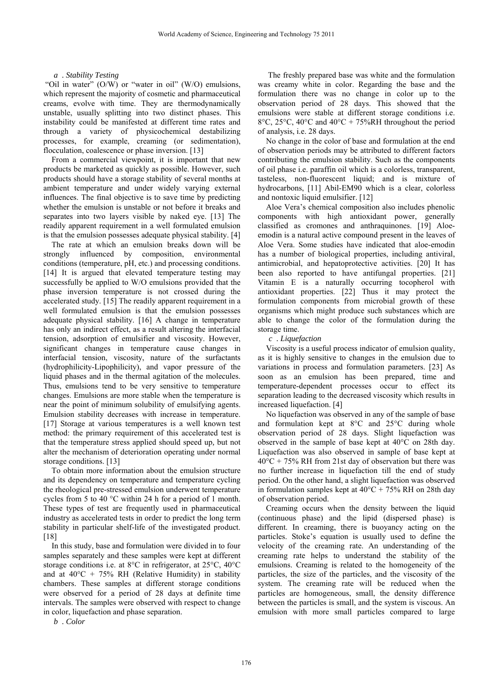## *a . Stability Testing*

"Oil in water" (O/W) or "water in oil" (W/O) emulsions, which represent the majority of cosmetic and pharmaceutical creams, evolve with time. They are thermodynamically unstable, usually splitting into two distinct phases. This instability could be manifested at different time rates and through a variety of physicochemical destabilizing processes, for example, creaming (or sedimentation), flocculation, coalescence or phase inversion. [13]

From a commercial viewpoint, it is important that new products be marketed as quickly as possible. However, such products should have a storage stability of several months at ambient temperature and under widely varying external influences. The final objective is to save time by predicting whether the emulsion is unstable or not before it breaks and separates into two layers visible by naked eye. [13] The readily apparent requirement in a well formulated emulsion is that the emulsion possesses adequate physical stability. [4]

The rate at which an emulsion breaks down will be strongly influenced by composition, environmental conditions (temperature, pH, etc.) and processing conditions. [14] It is argued that elevated temperature testing may successfully be applied to W/O emulsions provided that the phase inversion temperature is not crossed during the accelerated study. [15] The readily apparent requirement in a well formulated emulsion is that the emulsion possesses adequate physical stability. [16] A change in temperature has only an indirect effect, as a result altering the interfacial tension, adsorption of emulsifier and viscosity. However, significant changes in temperature cause changes in interfacial tension, viscosity, nature of the surfactants (hydrophilicity-Lipophilicity), and vapor pressure of the liquid phases and in the thermal agitation of the molecules. Thus, emulsions tend to be very sensitive to temperature changes. Emulsions are more stable when the temperature is near the point of minimum solubility of emulsifying agents. Emulsion stability decreases with increase in temperature. [17] Storage at various temperatures is a well known test method: the primary requirement of this accelerated test is that the temperature stress applied should speed up*,* but not alter the mechanism of deterioration operating under normal storage conditions. [13]

To obtain more information about the emulsion structure and its dependency on temperature and temperature cycling the rheological pre-stressed emulsion underwent temperature cycles from 5 to 40 °C within 24 h for a period of 1 month. These types of test are frequently used in pharmaceutical industry as accelerated tests in order to predict the long term stability in particular shelf-life of the investigated product. [18]

In this study, base and formulation were divided in to four samples separately and these samples were kept at different storage conditions i.e. at 8°C in refrigerator, at 25°C, 40°C and at  $40^{\circ}$ C + 75% RH (Relative Humidity) in stability chambers. These samples at different storage conditions were observed for a period of 28 days at definite time intervals. The samples were observed with respect to change in color, liquefaction and phase separation.

 The freshly prepared base was white and the formulation was creamy white in color. Regarding the base and the formulation there was no change in color up to the observation period of 28 days. This showed that the emulsions were stable at different storage conditions i.e. 8 $\degree$ C, 25 $\degree$ C, 40 $\degree$ C and 40 $\degree$ C + 75%RH throughout the period of analysis, i.e. 28 days.

No change in the color of base and formulation at the end of observation periods may be attributed to different factors contributing the emulsion stability. Such as the components of oil phase i.e. paraffin oil which is a colorless, transparent, tasteless, non-fluorescent liquid; and is mixture of hydrocarbons, [11] Abil-EM90 which is a clear, colorless and nontoxic liquid emulsifier. [12]

Aloe Vera's chemical composition also includes phenolic components with high antioxidant power, generally classified as cromones and anthraquinones. [19] Aloeemodin is a natural active compound present in the leaves of Aloe Vera. Some studies have indicated that aloe-emodin has a number of biological properties, including antiviral, antimicrobial, and hepatoprotective activities. [20] It has been also reported to have antifungal properties. [21] Vitamin E is a naturally occurring tocopherol with antioxidant properties. [22] Thus it may protect the formulation components from microbial growth of these organisms which might produce such substances which are able to change the color of the formulation during the storage time.

## *c . Liquefaction*

Viscosity is a useful process indicator of emulsion quality, as it is highly sensitive to changes in the emulsion due to variations in process and formulation parameters. [23] As soon as an emulsion has been prepared, time and temperature-dependent processes occur to effect its separation leading to the decreased viscosity which results in increased liquefaction. [4]

No liquefaction was observed in any of the sample of base and formulation kept at 8°C and 25°C during whole observation period of 28 days. Slight liquefaction was observed in the sample of base kept at 40°C on 28th day. Liquefaction was also observed in sample of base kept at  $40^{\circ}$ C + 75% RH from 21st day of observation but there was no further increase in liquefaction till the end of study period. On the other hand, a slight liquefaction was observed in formulation samples kept at  $40^{\circ}$ C + 75% RH on 28th day of observation period.

Creaming occurs when the density between the liquid (continuous phase) and the lipid (dispersed phase) is different. In creaming, there is buoyancy acting on the particles. Stoke's equation is usually used to define the velocity of the creaming rate. An understanding of the creaming rate helps to understand the stability of the emulsions. Creaming is related to the homogeneity of the particles, the size of the particles, and the viscosity of the system. The creaming rate will be reduced when the particles are homogeneous, small, the density difference between the particles is small, and the system is viscous. An emulsion with more small particles compared to large

*b . Color*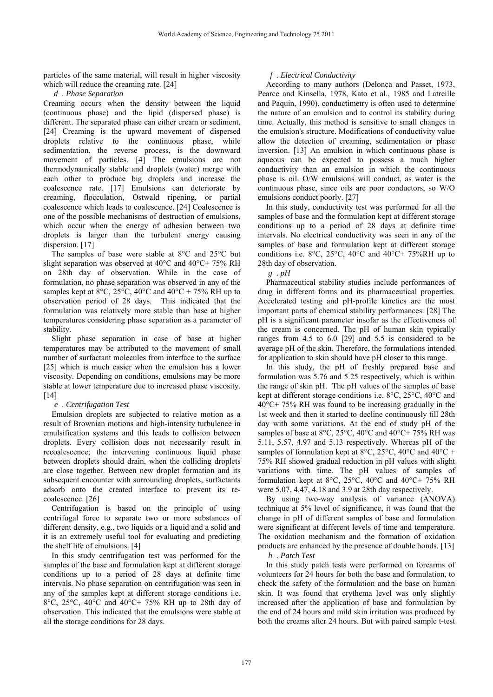particles of the same material, will result in higher viscosity which will reduce the creaming rate. [24]

*d . Phase Separation* 

Creaming occurs when the density between the liquid (continuous phase) and the lipid (dispersed phase) is different. The separated phase can either cream or sediment. [24] Creaming is the upward movement of dispersed droplets relative to the continuous phase, while sedimentation, the reverse process, is the downward movement of particles. [4] The emulsions are not thermodynamically stable and droplets (water) merge with each other to produce big droplets and increase the coalescence rate. [17] Emulsions can deteriorate by creaming, flocculation, Ostwald ripening, or partial coalescence which leads to coalescence. [24] Coalescence is one of the possible mechanisms of destruction of emulsions, which occur when the energy of adhesion between two droplets is larger than the turbulent energy causing dispersion. [17]

The samples of base were stable at 8°C and 25°C but slight separation was observed at 40°C and 40°C+ 75% RH on 28th day of observation. While in the case of formulation, no phase separation was observed in any of the samples kept at 8 $^{\circ}$ C, 25 $^{\circ}$ C, 40 $^{\circ}$ C and 40 $^{\circ}$ C + 75% RH up to observation period of 28 days. This indicated that the formulation was relatively more stable than base at higher temperatures considering phase separation as a parameter of stability.

Slight phase separation in case of base at higher temperatures may be attributed to the movement of small number of surfactant molecules from interface to the surface [25] which is much easier when the emulsion has a lower viscosity. Depending on conditions, emulsions may be more stable at lower temperature due to increased phase viscosity. [14]

## *e . Centrifugation Test*

Emulsion droplets are subjected to relative motion as a result of Brownian motions and high-intensity turbulence in emulsification systems and this leads to collision between droplets. Every collision does not necessarily result in recoalescence; the intervening continuous liquid phase between droplets should drain, when the colliding droplets are close together. Between new droplet formation and its subsequent encounter with surrounding droplets, surfactants adsorb onto the created interface to prevent its recoalescence. [26]

Centrifugation is based on the principle of using centrifugal force to separate two or more substances of different density, e.g., two liquids or a liquid and a solid and it is an extremely useful tool for evaluating and predicting the shelf life of emulsions. [4]

In this study centrifugation test was performed for the samples of the base and formulation kept at different storage conditions up to a period of 28 days at definite time intervals. No phase separation on centrifugation was seen in any of the samples kept at different storage conditions i.e. 8°C, 25°C, 40°C and 40°C+ 75% RH up to 28th day of observation. This indicated that the emulsions were stable at all the storage conditions for 28 days.

# *f . Electrical Conductivity*

According to many authors (Delonca and Passet, 1973, Pearce and Kinsella, 1978, Kato et al., 1985 and Latreille and Paquin, 1990), conductimetry is often used to determine the nature of an emulsion and to control its stability during time. Actually, this method is sensitive to small changes in the emulsion's structure. Modifications of conductivity value allow the detection of creaming, sedimentation or phase inversion. [13] An emulsion in which continuous phase is aqueous can be expected to possess a much higher conductivity than an emulsion in which the continuous phase is oil. O/W emulsions will conduct, as water is the continuous phase, since oils are poor conductors, so W/O emulsions conduct poorly. [27]

In this study, conductivity test was performed for all the samples of base and the formulation kept at different storage conditions up to a period of 28 days at definite time intervals. No electrical conductivity was seen in any of the samples of base and formulation kept at different storage conditions i.e. 8°C, 25°C, 40°C and 40°C+ 75%RH up to 28th day of observation.

*g . pH* 

Pharmaceutical stability studies include performances of drug in different forms and its pharmaceutical properties. Accelerated testing and pH-profile kinetics are the most important parts of chemical stability performances. [28] The pH is a significant parameter insofar as the effectiveness of the cream is concerned. The pH of human skin typically ranges from 4.5 to 6.0 [29] and 5.5 is considered to be average pH of the skin. Therefore, the formulations intended for application to skin should have pH closer to this range.

In this study, the pH of freshly prepared base and formulation was 5.76 and 5.25 respectively, which is within the range of skin pH. The pH values of the samples of base kept at different storage conditions i.e. 8°C, 25°C, 40°C and 40°C+ 75% RH was found to be increasing gradually in the 1st week and then it started to decline continuously till 28th day with some variations. At the end of study pH of the samples of base at  $8^{\circ}$ C,  $25^{\circ}$ C,  $40^{\circ}$ C and  $40^{\circ}$ C + 75% RH was 5.11, 5.57, 4.97 and 5.13 respectively. Whereas pH of the samples of formulation kept at  $8^{\circ}$ C,  $25^{\circ}$ C,  $40^{\circ}$ C and  $40^{\circ}$ C + 75% RH showed gradual reduction in pH values with slight variations with time. The pH values of samples of formulation kept at 8°C, 25°C, 40°C and 40°C+ 75% RH were 5.07, 4.47, 4.18 and 3.9 at 28th day respectively.

By using two-way analysis of variance (ANOVA) technique at 5% level of significance, it was found that the change in pH of different samples of base and formulation were significant at different levels of time and temperature. The oxidation mechanism and the formation of oxidation products are enhanced by the presence of double bonds. [13]

*h . Patch Test* 

In this study patch tests were performed on forearms of volunteers for 24 hours for both the base and formulation, to check the safety of the formulation and the base on human skin. It was found that erythema level was only slightly increased after the application of base and formulation by the end of 24 hours and mild skin irritation was produced by both the creams after 24 hours. But with paired sample t-test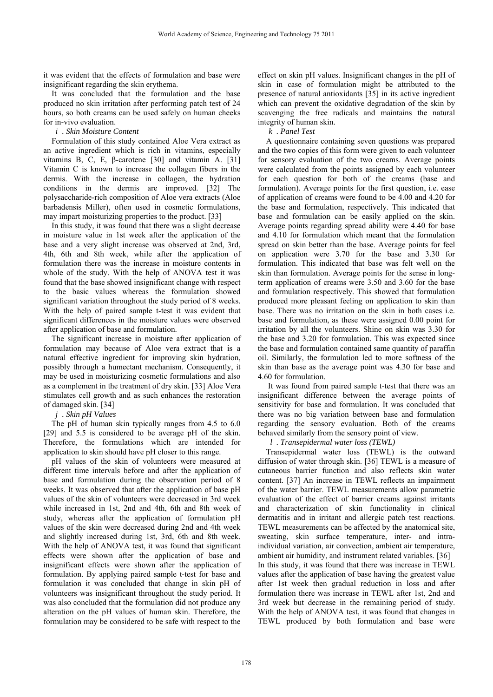it was evident that the effects of formulation and base were insignificant regarding the skin erythema.

It was concluded that the formulation and the base produced no skin irritation after performing patch test of 24 hours, so both creams can be used safely on human cheeks for in-vivo evaluation.

## *i . Skin Moisture Content*

Formulation of this study contained Aloe Vera extract as an active ingredient which is rich in vitamins, especially vitamins B, C, E, β-carotene [30] and vitamin A. [31] Vitamin C is known to increase the collagen fibers in the dermis. With the increase in collagen, the hydration conditions in the dermis are improved. [32] The polysaccharide-rich composition of Aloe vera extracts (Aloe barbadensis Miller), often used in cosmetic formulations, may impart moisturizing properties to the product. [33]

In this study, it was found that there was a slight decrease in moisture value in 1st week after the application of the base and a very slight increase was observed at 2nd, 3rd, 4th, 6th and 8th week, while after the application of formulation there was the increase in moisture contents in whole of the study. With the help of ANOVA test it was found that the base showed insignificant change with respect to the basic values whereas the formulation showed significant variation throughout the study period of 8 weeks. With the help of paired sample t-test it was evident that significant differences in the moisture values were observed after application of base and formulation.

The significant increase in moisture after application of formulation may because of Aloe vera extract that is a natural effective ingredient for improving skin hydration, possibly through a humectant mechanism. Consequently, it may be used in moisturizing cosmetic formulations and also as a complement in the treatment of dry skin. [33] Aloe Vera stimulates cell growth and as such enhances the restoration of damaged skin. [34]

# *j . Skin pH Values*

The pH of human skin typically ranges from 4.5 to 6.0 [29] and 5.5 is considered to be average pH of the skin. Therefore, the formulations which are intended for application to skin should have pH closer to this range.

pH values of the skin of volunteers were measured at different time intervals before and after the application of base and formulation during the observation period of 8 weeks. It was observed that after the application of base pH values of the skin of volunteers were decreased in 3rd week while increased in 1st, 2nd and 4th, 6th and 8th week of study, whereas after the application of formulation pH values of the skin were decreased during 2nd and 4th week and slightly increased during 1st, 3rd, 6th and 8th week. With the help of ANOVA test, it was found that significant effects were shown after the application of base and insignificant effects were shown after the application of formulation. By applying paired sample t-test for base and formulation it was concluded that change in skin pH of volunteers was insignificant throughout the study period. It was also concluded that the formulation did not produce any alteration on the pH values of human skin. Therefore, the formulation may be considered to be safe with respect to the

effect on skin pH values. Insignificant changes in the pH of skin in case of formulation might be attributed to the presence of natural antioxidants [35] in its active ingredient which can prevent the oxidative degradation of the skin by scavenging the free radicals and maintains the natural integrity of human skin.

# *k . Panel Test*

A questionnaire containing seven questions was prepared and the two copies of this form were given to each volunteer for sensory evaluation of the two creams. Average points were calculated from the points assigned by each volunteer for each question for both of the creams (base and formulation). Average points for the first question, i.e. ease of application of creams were found to be 4.00 and 4.20 for the base and formulation, respectively. This indicated that base and formulation can be easily applied on the skin. Average points regarding spread ability were 4.40 for base and 4.10 for formulation which meant that the formulation spread on skin better than the base. Average points for feel on application were 3.70 for the base and 3.30 for formulation. This indicated that base was felt well on the skin than formulation. Average points for the sense in longterm application of creams were 3.50 and 3.60 for the base and formulation respectively. This showed that formulation produced more pleasant feeling on application to skin than base. There was no irritation on the skin in both cases i.e. base and formulation, as these were assigned 0.00 point for irritation by all the volunteers. Shine on skin was 3.30 for the base and 3.20 for formulation. This was expected since the base and formulation contained same quantity of paraffin oil. Similarly, the formulation led to more softness of the skin than base as the average point was 4.30 for base and 4.60 for formulation.

 It was found from paired sample t-test that there was an insignificant difference between the average points of sensitivity for base and formulation. It was concluded that there was no big variation between base and formulation regarding the sensory evaluation. Both of the creams behaved similarly from the sensory point of view.

*l . Transepidermal water loss (TEWL)* 

Transepidermal water loss (TEWL) is the outward diffusion of water through skin. [36] TEWL is a measure of cutaneous barrier function and also reflects skin water content. [37] An increase in TEWL reflects an impairment of the water barrier. TEWL measurements allow parametric evaluation of the effect of barrier creams against irritants and characterization of skin functionality in clinical dermatitis and in irritant and allergic patch test reactions. TEWL measurements can be affected by the anatomical site, sweating, skin surface temperature, inter- and intraindividual variation, air convection, ambient air temperature, ambient air humidity, and instrument related variables. [36] In this study, it was found that there was increase in TEWL values after the application of base having the greatest value after 1st week then gradual reduction in loss and after formulation there was increase in TEWL after 1st, 2nd and 3rd week but decrease in the remaining period of study. With the help of ANOVA test, it was found that changes in TEWL produced by both formulation and base were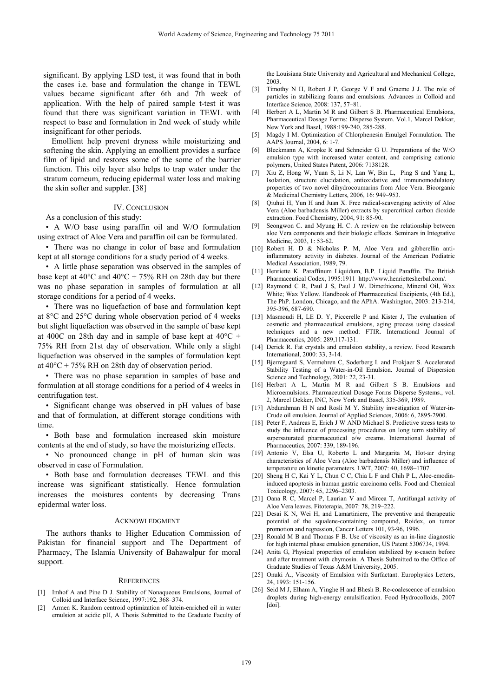significant. By applying LSD test, it was found that in both the cases i.e. base and formulation the change in TEWL values became significant after 6th and 7th week of application. With the help of paired sample t-test it was found that there was significant variation in TEWL with respect to base and formulation in 2nd week of study while insignificant for other periods.

Emollient help prevent dryness while moisturizing and softening the skin. Applying an emollient provides a surface film of lipid and restores some of the some of the barrier function. This oily layer also helps to trap water under the stratum corneum, reducing epidermal water loss and making the skin softer and suppler. [38]

#### IV. CONCLUSION

As a conclusion of this study:

• A W/O base using paraffin oil and W/O formulation using extract of Aloe Vera and paraffin oil can be formulated.

• There was no change in color of base and formulation kept at all storage conditions for a study period of 4 weeks.

• A little phase separation was observed in the samples of base kept at  $40^{\circ}$ C and  $40^{\circ}$ C + 75% RH on 28th day but there was no phase separation in samples of formulation at all storage conditions for a period of 4 weeks.

• There was no liquefaction of base and formulation kept at 8°C and 25°C during whole observation period of 4 weeks but slight liquefaction was observed in the sample of base kept at 400C on 28th day and in sample of base kept at  $40^{\circ}$ C + 75% RH from 21st day of observation. While only a slight liquefaction was observed in the samples of formulation kept at  $40^{\circ}$ C + 75% RH on 28th day of observation period.

• There was no phase separation in samples of base and formulation at all storage conditions for a period of 4 weeks in centrifugation test.

• Significant change was observed in pH values of base and that of formulation, at different storage conditions with time.

• Both base and formulation increased skin moisture contents at the end of study, so have the moisturizing effects.

• No pronounced change in pH of human skin was observed in case of Formulation.

• Both base and formulation decreases TEWL and this increase was significant statistically. Hence formulation increases the moistures contents by decreasing Trans epidermal water loss.

#### ACKNOWLEDGMENT

The authors thanks to Higher Education Commission of Pakistan for financial support and The Department of Pharmacy, The Islamia University of Bahawalpur for moral support.

#### **REFERENCES**

- [1] Imhof A and Pine D J. Stability of Nonaqueous Emulsions, Journal of Colloid and Interface Science, 1997:192, 368–374.
- [2] Armen K. Random centroid optimization of lutein-enriched oil in water emulsion at acidic pH, A Thesis Submitted to the Graduate Faculty of

the Louisiana State University and Agricultural and Mechanical College, 2003.

- [3] Timothy N H, Robert J P, George V F and Graeme J J. The role of particles in stabilizing foams and emulsions. Advances in Colloid and Interface Science, 2008: 137, 57–81.
- [4] Herbert A L, Martin M R and Gilbert S B. Pharmaceutical Emulsions, Pharmaceutical Dosage Forms: Disperse System. Vol.1, Marcel Dekkar, New York and Basel, 1988:199-240, 285-288.
- [5] Magdy I M. Optimization of Chlorphenesin Emulgel Formulation. The AAPS Journal, 2004, 6: 1-7.
- [6] Bleckmann A, Kropke R and Schneider G U. Preparations of the W/O emulsion type with increased water content, and comprising cationic polymers, United States Patent, 2006: 7138128.
- [7] Xiu Z, Hong W, Yuan S, Li N, Lan W, Bin L, Ping S and Yang L, Isolation, structure elucidation, antioxidative and immunomodulatory properties of two novel dihydrocoumarins from Aloe Vera. Bioorganic & Medicinal Chemistry Letters, 2006, 16: 949–953.
- [8] Oiuhui H, Yun H and Juan X. Free radical-scavenging activity of Aloe Vera (Aloe barbadensis Miller) extracts by supercritical carbon dioxide extraction. Food Chemistry, 2004, 91: 85-90.
- [9] Seongwon C. and Myung H. C. A review on the relationship between aloe Vera components and their biologic effects. Seminars in Integrative Medicine, 2003, 1: 53-62.
- [10] Robert H. D & Nicholas P. M, Aloe Vera and gibberellin antiinflammatory activity in diabetes. Journal of the American Podiatric Medical Association, 1989, 79.
- [11] Henriette K. Paraffinum Liquidum, B.P. Liquid Paraffin. The British Pharmaceutical Codex, 1995:1911 http://www.henriettesherbal.com/.
- [12] Raymond C R, Paul J S, Paul J W. Dimethicone, Mineral Oil, Wax White; Wax Yellow. Handbook of Pharmaceutical Excipients, (4th Ed.), The PhP. London, Chicago, and the APhA. Washington, 2003: 213-214, 395-396, 687-690.
- [13] Masmoudi H, LE D. Y, Piccerelle P and Kister J, The evaluation of cosmetic and pharmaceutical emulsions, aging process using classical techniques and a new method: FTIR. International Journal of Pharmaceutics, 2005: 289,117-131.
- [14] Derick R. Fat crystals and emulsion stability, a review. Food Research International, 2000: 33, 3-14.
- [15] Bjerregaard S, Vermehren C, Soderberg I. and Frokjaer S. Accelerated Stability Testing of a Water-in-Oil Emulsion. Journal of Dispersion Science and Technology, 2001: 22, 23-31.
- [16] Herbert A L, Martin M R and Gilbert S B. Emulsions and Microemulsions. Pharmaceutical Dosage Forms Disperse Systems., vol. 2, Marcel Dekker, INC, New York and Basel, 335-369, 1989.
- [17] Abdurahman H N and Rosli M Y. Stability investigation of Water-in-Crude oil emulsion. Journal of Applied Sciences, 2006: 6, 2895-2900.
- [18] Peter F, Andreas E, Erich J W AND Michael S. Predictive stress tests to study the influence of processing procedures on long term stability of supersaturated pharmaceutical o/w creams. International Journal of Pharmaceutics, 2007: 339, 189-196.
- [19] Antonio V, Elsa U, Roberto L and Margarita M, Hot-air drying characteristics of Aloe Vera (Aloe barbadensis Miller) and influence of temperature on kinetic parameters. LWT, 2007: 40, 1698–1707.
- [20] Sheng H C, Kai Y L, Chun C C, Chia L F and Chih P L, Aloe-emodininduced apoptosis in human gastric carcinoma cells. Food and Chemical Toxicology, 2007: 45, 2296–2303.
- [21] Oana R C, Marcel P, Laurian V and Mircea T, Antifungal activity of Aloe Vera leaves. Fitoterapia, 2007: 78, 219–222.
- [22] Desai K N, Wei H, and Lamartiniere. The preventive and therapeutic potential of the squalene-containing compound, Roidex, on tumor promotion and regression, Cancer Letters 101, 93-96, 1996.
- [23] Ronald M B and Thomas F B. Use of viscosity as an in-line diagnostic for high internal phase emulsion generation, US Patent 5306734, 1994.
- [24] Anita G. Physical properties of emulsion stabilized by k-casein before and after treatment with chymosin. A Thesis Submitted to the Office of Graduate Studies of Texas A&M University, 2005.
- [25] Onuki A., Viscosity of Emulsion with Surfactant. Europhysics Letters, 24, 1993: 151-156.
- [26] Seid M J, Elham A, Yinghe H and Bhesh B. Re-coalescence of emulsion droplets during high-energy emulsification. Food Hydrocolloids, 2007 [doi].